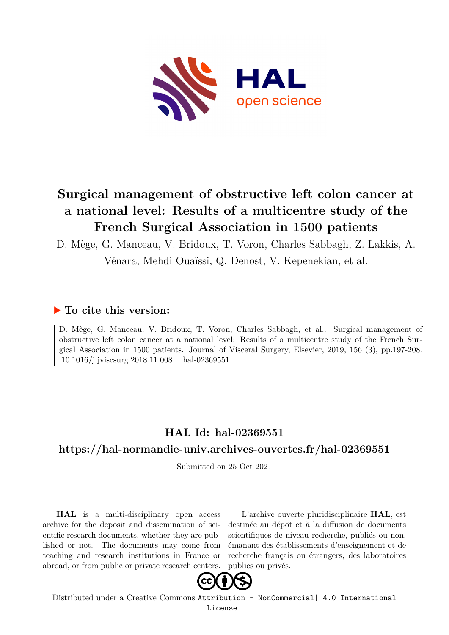

# **Surgical management of obstructive left colon cancer at a national level: Results of a multicentre study of the French Surgical Association in 1500 patients**

D. Mège, G. Manceau, V. Bridoux, T. Voron, Charles Sabbagh, Z. Lakkis, A.

Vénara, Mehdi Ouaïssi, Q. Denost, V. Kepenekian, et al.

# **To cite this version:**

D. Mège, G. Manceau, V. Bridoux, T. Voron, Charles Sabbagh, et al.. Surgical management of obstructive left colon cancer at a national level: Results of a multicentre study of the French Surgical Association in 1500 patients. Journal of Visceral Surgery, Elsevier, 2019, 156 (3), pp.197-208.  $10.1016$ /j.jviscsurg.2018.11.008. hal-02369551

# **HAL Id: hal-02369551**

# **<https://hal-normandie-univ.archives-ouvertes.fr/hal-02369551>**

Submitted on 25 Oct 2021

**HAL** is a multi-disciplinary open access archive for the deposit and dissemination of scientific research documents, whether they are published or not. The documents may come from teaching and research institutions in France or abroad, or from public or private research centers.

L'archive ouverte pluridisciplinaire **HAL**, est destinée au dépôt et à la diffusion de documents scientifiques de niveau recherche, publiés ou non, émanant des établissements d'enseignement et de recherche français ou étrangers, des laboratoires publics ou privés.



Distributed under a Creative Commons [Attribution - NonCommercial| 4.0 International](http://creativecommons.org/licenses/by-nc/4.0/) [License](http://creativecommons.org/licenses/by-nc/4.0/)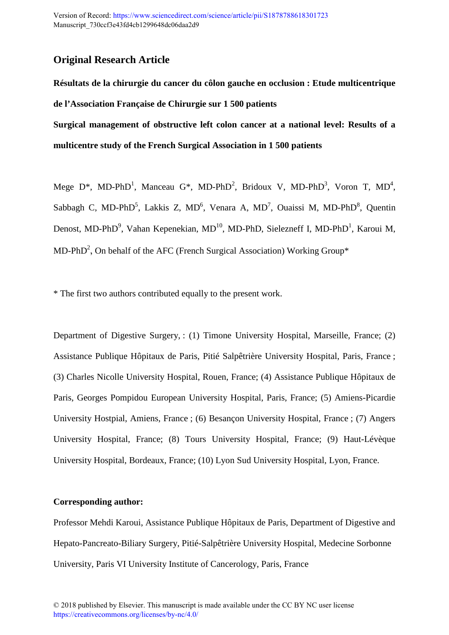# **Original Research Article**

**Résultats de la chirurgie du cancer du côlon gauche en occlusion : Etude multicentrique de l'Association Française de Chirurgie sur 1 500 patients** 

**Surgical management of obstructive left colon cancer at a national level: Results of a multicentre study of the French Surgical Association in 1 500 patients**

Mege D\*, MD-PhD<sup>1</sup>, Manceau G\*, MD-PhD<sup>2</sup>, Bridoux V, MD-PhD<sup>3</sup>, Voron T, MD<sup>4</sup>, Sabbagh C, MD-PhD<sup>5</sup>, Lakkis Z, MD<sup>6</sup>, Venara A, MD<sup>7</sup>, Ouaissi M, MD-PhD<sup>8</sup>, Quentin Denost, MD-PhD<sup>9</sup>, Vahan Kepenekian, MD<sup>10</sup>, MD-PhD, Sielezneff I, MD-PhD<sup>1</sup>, Karoui M, MD-PhD<sup>2</sup>, On behalf of the AFC (French Surgical Association) Working Group\*

\* The first two authors contributed equally to the present work.

Department of Digestive Surgery, : (1) Timone University Hospital, Marseille, France; (2) Assistance Publique Hôpitaux de Paris, Pitié Salpêtrière University Hospital, Paris, France ; (3) Charles Nicolle University Hospital, Rouen, France; (4) Assistance Publique Hôpitaux de Paris, Georges Pompidou European University Hospital, Paris, France; (5) Amiens-Picardie University Hostpial, Amiens, France ; (6) Besançon University Hospital, France ; (7) Angers University Hospital, France; (8) Tours University Hospital, France; (9) Haut-Lévèque University Hospital, Bordeaux, France; (10) Lyon Sud University Hospital, Lyon, France.

# **Corresponding author:**

Professor Mehdi Karoui, Assistance Publique Hôpitaux de Paris, Department of Digestive and Hepato-Pancreato-Biliary Surgery, Pitié-Salpêtrière University Hospital, Medecine Sorbonne University, Paris VI University Institute of Cancerology, Paris, France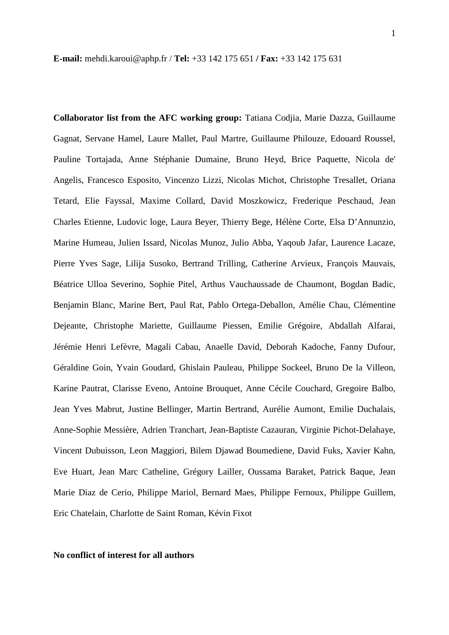**E-mail:** mehdi.karoui@aphp.fr / **Tel:** +33 142 175 651 **/ Fax:** +33 142 175 631

**Collaborator list from the AFC working group:** Tatiana Codjia, Marie Dazza, Guillaume Gagnat, Servane Hamel, Laure Mallet, Paul Martre, Guillaume Philouze, Edouard Roussel, Pauline Tortajada, Anne Stéphanie Dumaine, Bruno Heyd, Brice Paquette, Nicola de' Angelis, Francesco Esposito, Vincenzo Lizzi, Nicolas Michot, Christophe Tresallet, Oriana Tetard, Elie Fayssal, Maxime Collard, David Moszkowicz, Frederique Peschaud, Jean Charles Etienne, Ludovic loge, Laura Beyer, Thierry Bege, Hélène Corte, Elsa D'Annunzio, Marine Humeau, Julien Issard, Nicolas Munoz, Julio Abba, Yaqoub Jafar, Laurence Lacaze, Pierre Yves Sage, Lilija Susoko, Bertrand Trilling, Catherine Arvieux, François Mauvais, Béatrice Ulloa Severino, Sophie Pitel, Arthus Vauchaussade de Chaumont, Bogdan Badic, Benjamin Blanc, Marine Bert, Paul Rat, Pablo Ortega-Deballon, Amélie Chau, Clémentine Dejeante, Christophe Mariette, Guillaume Piessen, Emilie Grégoire, Abdallah Alfarai, Jérémie Henri Lefèvre, Magali Cabau, Anaelle David, Deborah Kadoche, Fanny Dufour, Géraldine Goin, Yvain Goudard, Ghislain Pauleau, Philippe Sockeel, Bruno De la Villeon, Karine Pautrat, Clarisse Eveno, Antoine Brouquet, Anne Cécile Couchard, Gregoire Balbo, Jean Yves Mabrut, Justine Bellinger, Martin Bertrand, Aurélie Aumont, Emilie Duchalais, Anne-Sophie Messière, Adrien Tranchart, Jean-Baptiste Cazauran, Virginie Pichot-Delahaye, Vincent Dubuisson, Leon Maggiori, Bilem Djawad Boumediene, David Fuks, Xavier Kahn, Eve Huart, Jean Marc Catheline, Grégory Lailler, Oussama Baraket, Patrick Baque, Jean Marie Diaz de Cerio, Philippe Mariol, Bernard Maes, Philippe Fernoux, Philippe Guillem, Eric Chatelain, Charlotte de Saint Roman, Kévin Fixot

#### **No conflict of interest for all authors**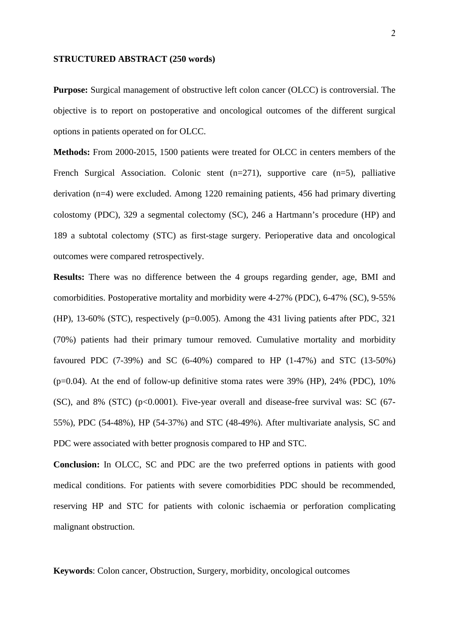#### **STRUCTURED ABSTRACT (250 words)**

**Purpose:** Surgical management of obstructive left colon cancer (OLCC) is controversial. The objective is to report on postoperative and oncological outcomes of the different surgical options in patients operated on for OLCC.

**Methods:** From 2000-2015, 1500 patients were treated for OLCC in centers members of the French Surgical Association. Colonic stent (n=271), supportive care (n=5), palliative derivation (n=4) were excluded. Among 1220 remaining patients, 456 had primary diverting colostomy (PDC), 329 a segmental colectomy (SC), 246 a Hartmann's procedure (HP) and 189 a subtotal colectomy (STC) as first-stage surgery. Perioperative data and oncological outcomes were compared retrospectively.

**Results:** There was no difference between the 4 groups regarding gender, age, BMI and comorbidities. Postoperative mortality and morbidity were 4-27% (PDC), 6-47% (SC), 9-55% (HP), 13-60% (STC), respectively (p=0.005). Among the 431 living patients after PDC, 321 (70%) patients had their primary tumour removed. Cumulative mortality and morbidity favoured PDC  $(7-39%)$  and SC  $(6-40%)$  compared to HP  $(1-47%)$  and STC  $(13-50%)$  $(p=0.04)$ . At the end of follow-up definitive stoma rates were 39% (HP), 24% (PDC), 10%  $(SC)$ , and  $8\%$   $(STC)$   $(p<0.0001)$ . Five-year overall and disease-free survival was: SC  $(67-$ 55%), PDC (54-48%), HP (54-37%) and STC (48-49%). After multivariate analysis, SC and PDC were associated with better prognosis compared to HP and STC.

**Conclusion:** In OLCC, SC and PDC are the two preferred options in patients with good medical conditions. For patients with severe comorbidities PDC should be recommended, reserving HP and STC for patients with colonic ischaemia or perforation complicating malignant obstruction.

**Keywords**: Colon cancer, Obstruction, Surgery, morbidity, oncological outcomes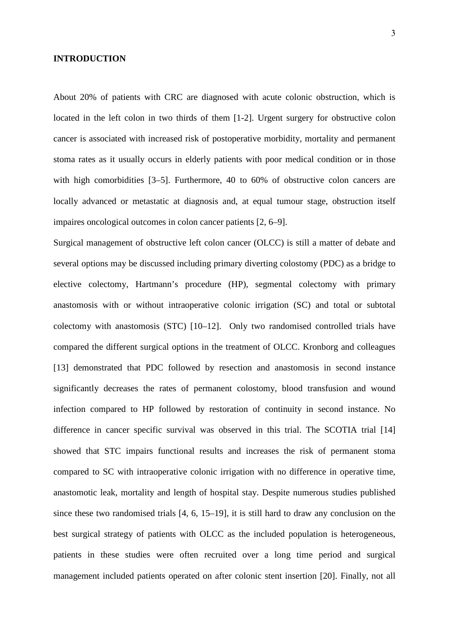## **INTRODUCTION**

About 20% of patients with CRC are diagnosed with acute colonic obstruction, which is located in the left colon in two thirds of them [1-2]. Urgent surgery for obstructive colon cancer is associated with increased risk of postoperative morbidity, mortality and permanent stoma rates as it usually occurs in elderly patients with poor medical condition or in those with high comorbidities [3–5]. Furthermore, 40 to 60% of obstructive colon cancers are locally advanced or metastatic at diagnosis and, at equal tumour stage, obstruction itself impaires oncological outcomes in colon cancer patients [2, 6–9].

Surgical management of obstructive left colon cancer (OLCC) is still a matter of debate and several options may be discussed including primary diverting colostomy (PDC) as a bridge to elective colectomy, Hartmann's procedure (HP), segmental colectomy with primary anastomosis with or without intraoperative colonic irrigation (SC) and total or subtotal colectomy with anastomosis (STC) [10–12]. Only two randomised controlled trials have compared the different surgical options in the treatment of OLCC. Kronborg and colleagues [13] demonstrated that PDC followed by resection and anastomosis in second instance significantly decreases the rates of permanent colostomy, blood transfusion and wound infection compared to HP followed by restoration of continuity in second instance. No difference in cancer specific survival was observed in this trial. The SCOTIA trial [14] showed that STC impairs functional results and increases the risk of permanent stoma compared to SC with intraoperative colonic irrigation with no difference in operative time, anastomotic leak, mortality and length of hospital stay. Despite numerous studies published since these two randomised trials [4, 6, 15–19], it is still hard to draw any conclusion on the best surgical strategy of patients with OLCC as the included population is heterogeneous, patients in these studies were often recruited over a long time period and surgical management included patients operated on after colonic stent insertion [20]. Finally, not all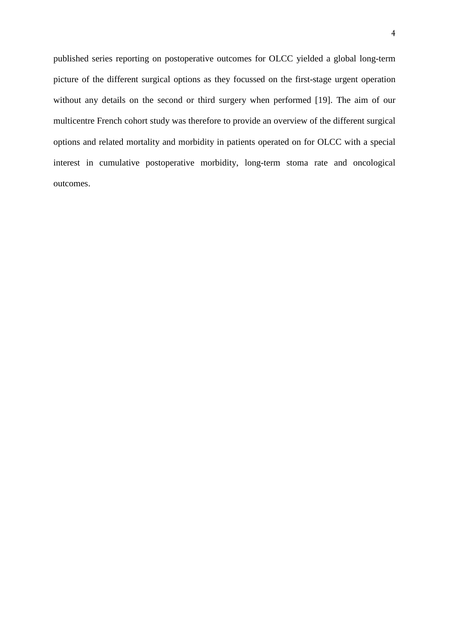published series reporting on postoperative outcomes for OLCC yielded a global long-term picture of the different surgical options as they focussed on the first-stage urgent operation without any details on the second or third surgery when performed [19]. The aim of our multicentre French cohort study was therefore to provide an overview of the different surgical options and related mortality and morbidity in patients operated on for OLCC with a special interest in cumulative postoperative morbidity, long-term stoma rate and oncological outcomes.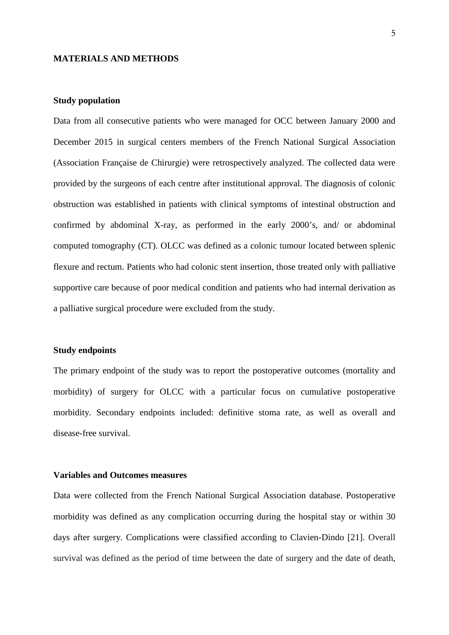#### **MATERIALS AND METHODS**

#### **Study population**

Data from all consecutive patients who were managed for OCC between January 2000 and December 2015 in surgical centers members of the French National Surgical Association (Association Française de Chirurgie) were retrospectively analyzed. The collected data were provided by the surgeons of each centre after institutional approval. The diagnosis of colonic obstruction was established in patients with clinical symptoms of intestinal obstruction and confirmed by abdominal X-ray, as performed in the early 2000's, and/ or abdominal computed tomography (CT). OLCC was defined as a colonic tumour located between splenic flexure and rectum. Patients who had colonic stent insertion, those treated only with palliative supportive care because of poor medical condition and patients who had internal derivation as a palliative surgical procedure were excluded from the study.

# **Study endpoints**

The primary endpoint of the study was to report the postoperative outcomes (mortality and morbidity) of surgery for OLCC with a particular focus on cumulative postoperative morbidity. Secondary endpoints included: definitive stoma rate, as well as overall and disease-free survival.

# **Variables and Outcomes measures**

Data were collected from the French National Surgical Association database. Postoperative morbidity was defined as any complication occurring during the hospital stay or within 30 days after surgery. Complications were classified according to Clavien-Dindo [21]. Overall survival was defined as the period of time between the date of surgery and the date of death,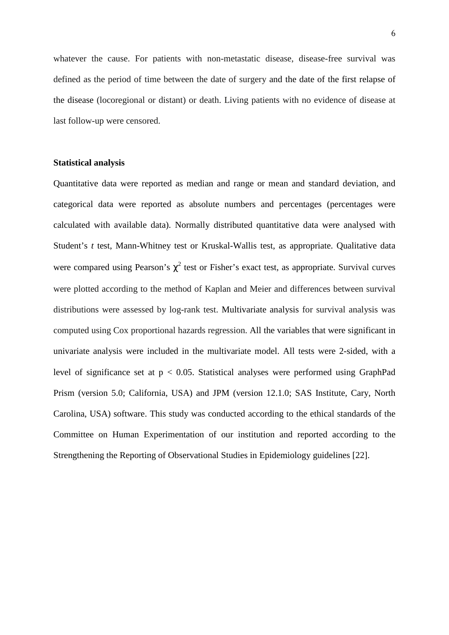whatever the cause. For patients with non-metastatic disease, disease-free survival was defined as the period of time between the date of surgery and the date of the first relapse of the disease (locoregional or distant) or death. Living patients with no evidence of disease at last follow-up were censored.

# **Statistical analysis**

Quantitative data were reported as median and range or mean and standard deviation, and categorical data were reported as absolute numbers and percentages (percentages were calculated with available data). Normally distributed quantitative data were analysed with Student's *t* test, Mann-Whitney test or Kruskal-Wallis test, as appropriate. Qualitative data were compared using Pearson's  $\chi^2$  test or Fisher's exact test, as appropriate. Survival curves were plotted according to the method of Kaplan and Meier and differences between survival distributions were assessed by log-rank test. Multivariate analysis for survival analysis was computed using Cox proportional hazards regression. All the variables that were significant in univariate analysis were included in the multivariate model. All tests were 2-sided, with a level of significance set at  $p < 0.05$ . Statistical analyses were performed using GraphPad Prism (version 5.0; California, USA) and JPM (version 12.1.0; SAS Institute, Cary, North Carolina, USA) software. This study was conducted according to the ethical standards of the Committee on Human Experimentation of our institution and reported according to the Strengthening the Reporting of Observational Studies in Epidemiology guidelines [22].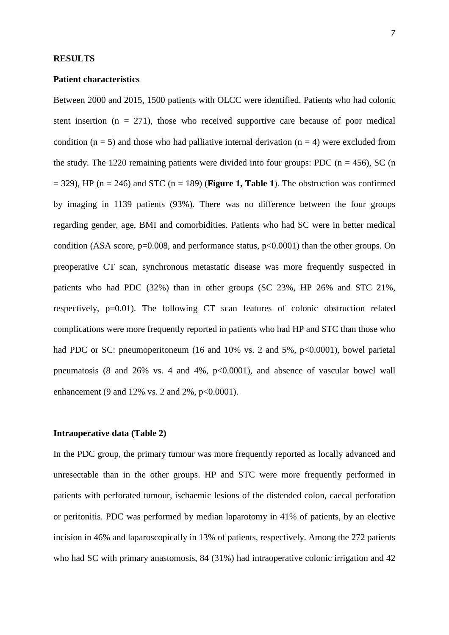# **Patient characteristics**

Between 2000 and 2015, 1500 patients with OLCC were identified. Patients who had colonic stent insertion ( $n = 271$ ), those who received supportive care because of poor medical condition ( $n = 5$ ) and those who had palliative internal derivation ( $n = 4$ ) were excluded from the study. The 1220 remaining patients were divided into four groups: PDC ( $n = 456$ ), SC (n  $=$  329), HP (n  $=$  246) and STC (n  $=$  189) (**Figure 1, Table 1**). The obstruction was confirmed by imaging in 1139 patients (93%). There was no difference between the four groups regarding gender, age, BMI and comorbidities. Patients who had SC were in better medical condition (ASA score,  $p=0.008$ , and performance status,  $p<0.0001$ ) than the other groups. On preoperative CT scan, synchronous metastatic disease was more frequently suspected in patients who had PDC (32%) than in other groups (SC 23%, HP 26% and STC 21%, respectively, p=0.01). The following CT scan features of colonic obstruction related complications were more frequently reported in patients who had HP and STC than those who had PDC or SC: pneumoperitoneum (16 and 10% vs. 2 and 5%, p<0.0001), bowel parietal pneumatosis (8 and 26% vs. 4 and 4%,  $p<0.0001$ ), and absence of vascular bowel wall enhancement (9 and 12% vs. 2 and 2%,  $p<0.0001$ ).

# **Intraoperative data (Table 2)**

In the PDC group, the primary tumour was more frequently reported as locally advanced and unresectable than in the other groups. HP and STC were more frequently performed in patients with perforated tumour, ischaemic lesions of the distended colon, caecal perforation or peritonitis. PDC was performed by median laparotomy in 41% of patients, by an elective incision in 46% and laparoscopically in 13% of patients, respectively. Among the 272 patients who had SC with primary anastomosis, 84 (31%) had intraoperative colonic irrigation and 42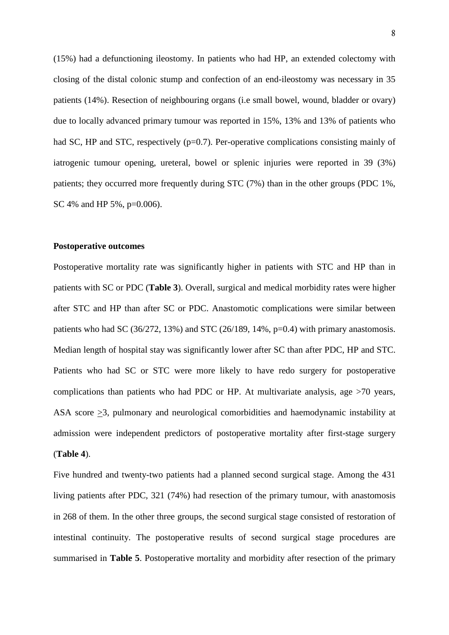(15%) had a defunctioning ileostomy. In patients who had HP, an extended colectomy with closing of the distal colonic stump and confection of an end-ileostomy was necessary in 35 patients (14%). Resection of neighbouring organs (i.e small bowel, wound, bladder or ovary) due to locally advanced primary tumour was reported in 15%, 13% and 13% of patients who had SC, HP and STC, respectively  $(p=0.7)$ . Per-operative complications consisting mainly of iatrogenic tumour opening, ureteral, bowel or splenic injuries were reported in 39 (3%) patients; they occurred more frequently during STC (7%) than in the other groups (PDC 1%, SC 4% and HP 5%, p=0.006).

# **Postoperative outcomes**

Postoperative mortality rate was significantly higher in patients with STC and HP than in patients with SC or PDC (**Table 3**). Overall, surgical and medical morbidity rates were higher after STC and HP than after SC or PDC. Anastomotic complications were similar between patients who had SC (36/272, 13%) and STC (26/189, 14%,  $p=0.4$ ) with primary anastomosis. Median length of hospital stay was significantly lower after SC than after PDC, HP and STC. Patients who had SC or STC were more likely to have redo surgery for postoperative complications than patients who had PDC or HP. At multivariate analysis, age >70 years, ASA score >3, pulmonary and neurological comorbidities and haemodynamic instability at admission were independent predictors of postoperative mortality after first-stage surgery (**Table 4**).

Five hundred and twenty-two patients had a planned second surgical stage. Among the 431 living patients after PDC, 321 (74%) had resection of the primary tumour, with anastomosis in 268 of them. In the other three groups, the second surgical stage consisted of restoration of intestinal continuity. The postoperative results of second surgical stage procedures are summarised in **Table 5**. Postoperative mortality and morbidity after resection of the primary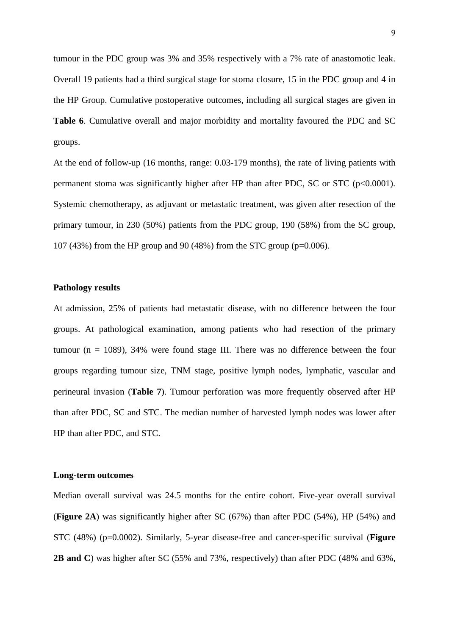tumour in the PDC group was 3% and 35% respectively with a 7% rate of anastomotic leak. Overall 19 patients had a third surgical stage for stoma closure, 15 in the PDC group and 4 in the HP Group. Cumulative postoperative outcomes, including all surgical stages are given in **Table 6**. Cumulative overall and major morbidity and mortality favoured the PDC and SC groups.

At the end of follow-up (16 months, range: 0.03-179 months), the rate of living patients with permanent stoma was significantly higher after HP than after PDC, SC or STC ( $p<0.0001$ ). Systemic chemotherapy, as adjuvant or metastatic treatment, was given after resection of the primary tumour, in 230 (50%) patients from the PDC group, 190 (58%) from the SC group, 107 (43%) from the HP group and 90 (48%) from the STC group (p=0.006).

## **Pathology results**

At admission, 25% of patients had metastatic disease, with no difference between the four groups. At pathological examination, among patients who had resection of the primary tumour ( $n = 1089$ ), 34% were found stage III. There was no difference between the four groups regarding tumour size, TNM stage, positive lymph nodes, lymphatic, vascular and perineural invasion (**Table 7**). Tumour perforation was more frequently observed after HP than after PDC, SC and STC. The median number of harvested lymph nodes was lower after HP than after PDC, and STC.

## **Long-term outcomes**

Median overall survival was 24.5 months for the entire cohort. Five-year overall survival (**Figure 2A**) was significantly higher after SC (67%) than after PDC (54%), HP (54%) and STC (48%) (p=0.0002). Similarly, 5-year disease-free and cancer-specific survival (**Figure 2B and C**) was higher after SC (55% and 73%, respectively) than after PDC (48% and 63%,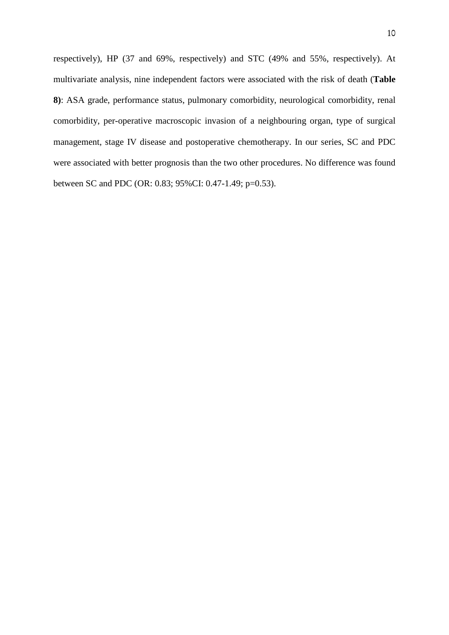respectively), HP (37 and 69%, respectively) and STC (49% and 55%, respectively). At multivariate analysis, nine independent factors were associated with the risk of death (**Table 8)**: ASA grade, performance status, pulmonary comorbidity, neurological comorbidity, renal comorbidity, per-operative macroscopic invasion of a neighbouring organ, type of surgical management, stage IV disease and postoperative chemotherapy. In our series, SC and PDC were associated with better prognosis than the two other procedures. No difference was found between SC and PDC (OR: 0.83; 95%CI: 0.47-1.49; p=0.53).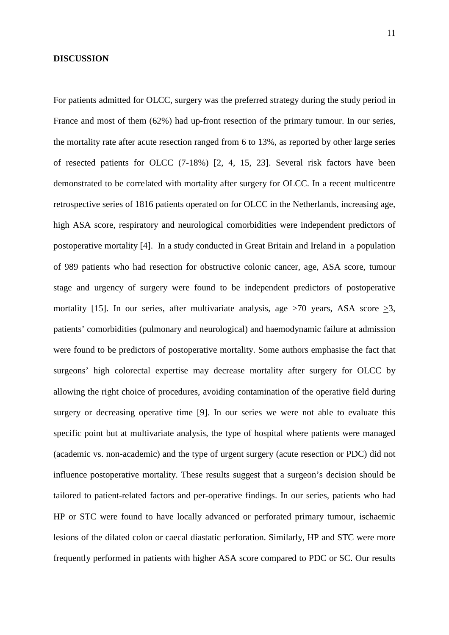### **DISCUSSION**

For patients admitted for OLCC, surgery was the preferred strategy during the study period in France and most of them (62%) had up-front resection of the primary tumour. In our series, the mortality rate after acute resection ranged from 6 to 13%, as reported by other large series of resected patients for OLCC (7-18%) [2, 4, 15, 23]. Several risk factors have been demonstrated to be correlated with mortality after surgery for OLCC. In a recent multicentre retrospective series of 1816 patients operated on for OLCC in the Netherlands, increasing age, high ASA score, respiratory and neurological comorbidities were independent predictors of postoperative mortality [4]. In a study conducted in Great Britain and Ireland in a population of 989 patients who had resection for obstructive colonic cancer, age, ASA score, tumour stage and urgency of surgery were found to be independent predictors of postoperative mortality [15]. In our series, after multivariate analysis, age  $>70$  years, ASA score  $\geq 3$ , patients' comorbidities (pulmonary and neurological) and haemodynamic failure at admission were found to be predictors of postoperative mortality. Some authors emphasise the fact that surgeons' high colorectal expertise may decrease mortality after surgery for OLCC by allowing the right choice of procedures, avoiding contamination of the operative field during surgery or decreasing operative time [9]. In our series we were not able to evaluate this specific point but at multivariate analysis, the type of hospital where patients were managed (academic vs. non-academic) and the type of urgent surgery (acute resection or PDC) did not influence postoperative mortality. These results suggest that a surgeon's decision should be tailored to patient-related factors and per-operative findings. In our series, patients who had HP or STC were found to have locally advanced or perforated primary tumour, ischaemic lesions of the dilated colon or caecal diastatic perforation. Similarly, HP and STC were more frequently performed in patients with higher ASA score compared to PDC or SC. Our results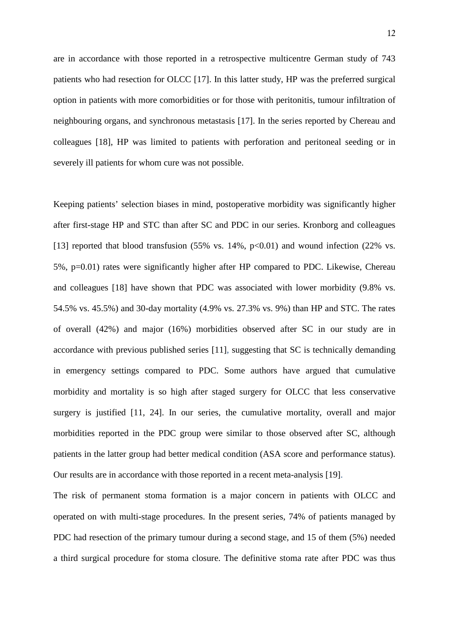are in accordance with those reported in a retrospective multicentre German study of 743 patients who had resection for OLCC [17]. In this latter study, HP was the preferred surgical option in patients with more comorbidities or for those with peritonitis, tumour infiltration of neighbouring organs, and synchronous metastasis [17]. In the series reported by Chereau and colleagues [18], HP was limited to patients with perforation and peritoneal seeding or in severely ill patients for whom cure was not possible.

Keeping patients' selection biases in mind, postoperative morbidity was significantly higher after first-stage HP and STC than after SC and PDC in our series. Kronborg and colleagues [13] reported that blood transfusion  $(55\% \text{ vs. } 14\%, \text{ p} < 0.01)$  and wound infection  $(22\% \text{ vs. } 14\%)$ 5%, p=0.01) rates were significantly higher after HP compared to PDC. Likewise, Chereau and colleagues [18] have shown that PDC was associated with lower morbidity (9.8% vs. 54.5% vs. 45.5%) and 30-day mortality (4.9% vs. 27.3% vs. 9%) than HP and STC. The rates of overall (42%) and major (16%) morbidities observed after SC in our study are in accordance with previous published series [11], suggesting that SC is technically demanding in emergency settings compared to PDC. Some authors have argued that cumulative morbidity and mortality is so high after staged surgery for OLCC that less conservative surgery is justified [11, 24]. In our series, the cumulative mortality, overall and major morbidities reported in the PDC group were similar to those observed after SC, although patients in the latter group had better medical condition (ASA score and performance status). Our results are in accordance with those reported in a recent meta-analysis [19].

The risk of permanent stoma formation is a major concern in patients with OLCC and operated on with multi-stage procedures. In the present series, 74% of patients managed by PDC had resection of the primary tumour during a second stage, and 15 of them (5%) needed a third surgical procedure for stoma closure. The definitive stoma rate after PDC was thus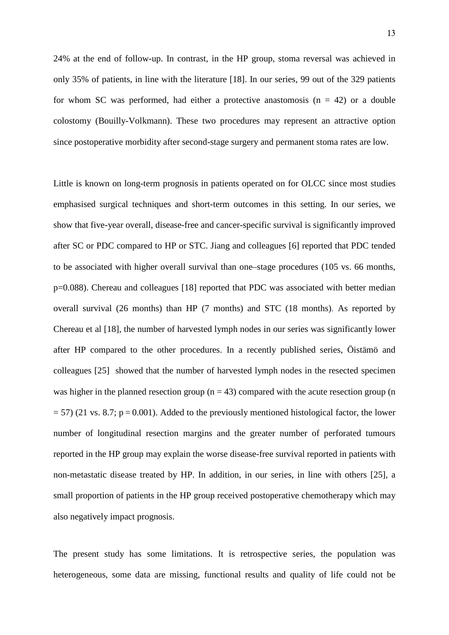24% at the end of follow-up. In contrast, in the HP group, stoma reversal was achieved in only 35% of patients, in line with the literature [18]. In our series, 99 out of the 329 patients for whom SC was performed, had either a protective anastomosis  $(n = 42)$  or a double colostomy (Bouilly-Volkmann). These two procedures may represent an attractive option since postoperative morbidity after second-stage surgery and permanent stoma rates are low.

Little is known on long-term prognosis in patients operated on for OLCC since most studies emphasised surgical techniques and short-term outcomes in this setting. In our series, we show that five-year overall, disease-free and cancer-specific survival is significantly improved after SC or PDC compared to HP or STC. Jiang and colleagues [6] reported that PDC tended to be associated with higher overall survival than one–stage procedures (105 vs. 66 months, p=0.088). Chereau and colleagues [18] reported that PDC was associated with better median overall survival (26 months) than HP (7 months) and STC (18 months). As reported by Chereau et al [18], the number of harvested lymph nodes in our series was significantly lower after HP compared to the other procedures. In a recently published series, Öistämö and colleagues [25] showed that the number of harvested lymph nodes in the resected specimen was higher in the planned resection group ( $n = 43$ ) compared with the acute resection group (n  $= 57$ ) (21 vs. 8.7; p = 0.001). Added to the previously mentioned histological factor, the lower number of longitudinal resection margins and the greater number of perforated tumours reported in the HP group may explain the worse disease-free survival reported in patients with non-metastatic disease treated by HP. In addition, in our series, in line with others [25], a small proportion of patients in the HP group received postoperative chemotherapy which may also negatively impact prognosis.

The present study has some limitations. It is retrospective series, the population was heterogeneous, some data are missing, functional results and quality of life could not be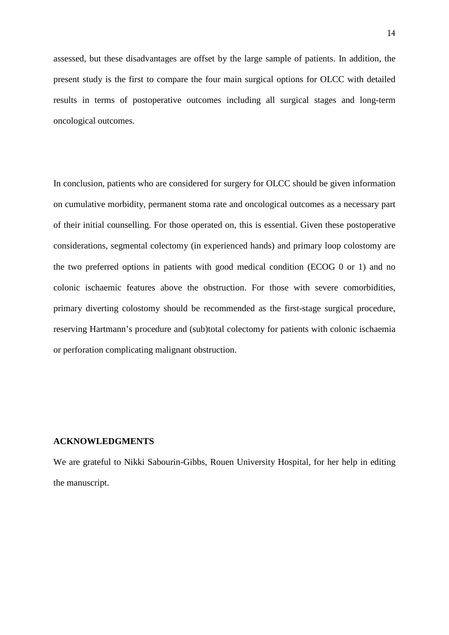assessed, but these disadvantages are offset by the large sample of patients. In addition, the present study is the first to compare the four main surgical options for OLCC with detailed results in terms of postoperative outcomes including all surgical stages and long-term oncological outcomes.

In conclusion, patients who are considered for surgery for OLCC should be given information on cumulative morbidity, permanent stoma rate and oncological outcomes as a necessary part of their initial counselling. For those operated on, this is essential. Given these postoperative considerations, segmental colectomy (in experienced hands) and primary loop colostomy are the two preferred options in patients with good medical condition (ECOG 0 or 1) and no colonic ischaemic features above the obstruction. For those with severe comorbidities, primary diverting colostomy should be recommended as the first-stage surgical procedure, reserving Hartmann's procedure and (sub)total colectomy for patients with colonic ischaemia or perforation complicating malignant obstruction.

# **ACKNOWLEDGMENTS**

We are grateful to Nikki Sabourin-Gibbs, Rouen University Hospital, for her help in editing the manuscript.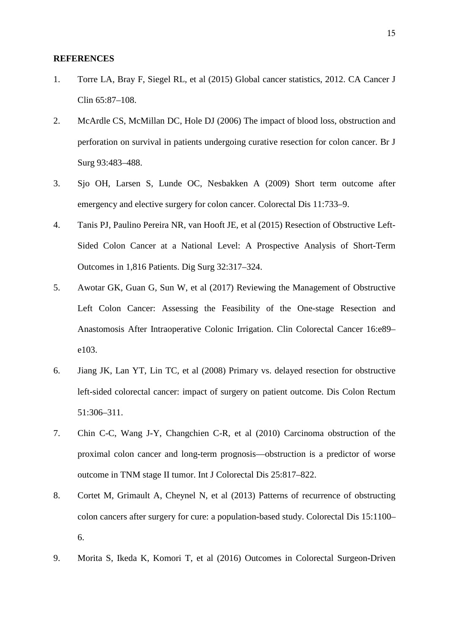# **REFERENCES**

- 1. Torre LA, Bray F, Siegel RL, et al (2015) Global cancer statistics, 2012. CA Cancer J Clin 65:87–108.
- 2. McArdle CS, McMillan DC, Hole DJ (2006) The impact of blood loss, obstruction and perforation on survival in patients undergoing curative resection for colon cancer. Br J Surg 93:483–488.
- 3. Sjo OH, Larsen S, Lunde OC, Nesbakken A (2009) Short term outcome after emergency and elective surgery for colon cancer. Colorectal Dis 11:733–9.
- 4. Tanis PJ, Paulino Pereira NR, van Hooft JE, et al (2015) Resection of Obstructive Left-Sided Colon Cancer at a National Level: A Prospective Analysis of Short-Term Outcomes in 1,816 Patients. Dig Surg 32:317–324.
- 5. Awotar GK, Guan G, Sun W, et al (2017) Reviewing the Management of Obstructive Left Colon Cancer: Assessing the Feasibility of the One-stage Resection and Anastomosis After Intraoperative Colonic Irrigation. Clin Colorectal Cancer 16:e89– e103.
- 6. Jiang JK, Lan YT, Lin TC, et al (2008) Primary vs. delayed resection for obstructive left-sided colorectal cancer: impact of surgery on patient outcome. Dis Colon Rectum 51:306–311.
- 7. Chin C-C, Wang J-Y, Changchien C-R, et al (2010) Carcinoma obstruction of the proximal colon cancer and long-term prognosis—obstruction is a predictor of worse outcome in TNM stage II tumor. Int J Colorectal Dis 25:817–822.
- 8. Cortet M, Grimault A, Cheynel N, et al (2013) Patterns of recurrence of obstructing colon cancers after surgery for cure: a population-based study. Colorectal Dis 15:1100– 6.
- 9. Morita S, Ikeda K, Komori T, et al (2016) Outcomes in Colorectal Surgeon-Driven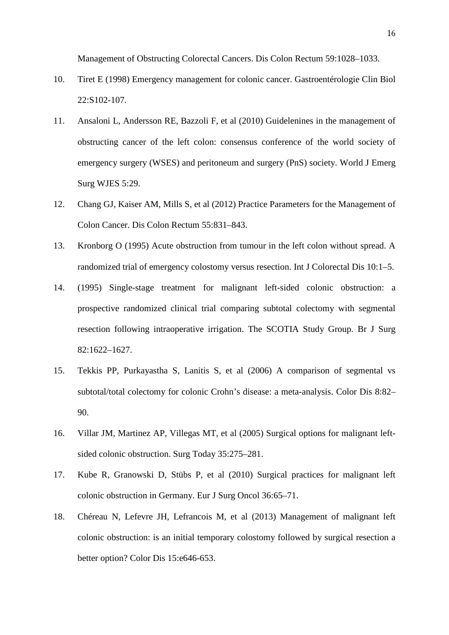Management of Obstructing Colorectal Cancers. Dis Colon Rectum 59:1028–1033.

- 10. Tiret E (1998) Emergency management for colonic cancer. Gastroentérologie Clin Biol 22:S102-107.
- 11. Ansaloni L, Andersson RE, Bazzoli F, et al (2010) Guidelenines in the management of obstructing cancer of the left colon: consensus conference of the world society of emergency surgery (WSES) and peritoneum and surgery (PnS) society. World J Emerg Surg WJES 5:29.
- 12. Chang GJ, Kaiser AM, Mills S, et al (2012) Practice Parameters for the Management of Colon Cancer. Dis Colon Rectum 55:831–843.
- 13. Kronborg O (1995) Acute obstruction from tumour in the left colon without spread. A randomized trial of emergency colostomy versus resection. Int J Colorectal Dis 10:1–5.
- 14. (1995) Single-stage treatment for malignant left-sided colonic obstruction: a prospective randomized clinical trial comparing subtotal colectomy with segmental resection following intraoperative irrigation. The SCOTIA Study Group. Br J Surg 82:1622–1627.
- 15. Tekkis PP, Purkayastha S, Lanitis S, et al (2006) A comparison of segmental vs subtotal/total colectomy for colonic Crohn's disease: a meta-analysis. Color Dis 8:82– 90.
- 16. Villar JM, Martinez AP, Villegas MT, et al (2005) Surgical options for malignant leftsided colonic obstruction. Surg Today 35:275–281.
- 17. Kube R, Granowski D, Stübs P, et al (2010) Surgical practices for malignant left colonic obstruction in Germany. Eur J Surg Oncol 36:65–71.
- 18. Chéreau N, Lefevre JH, Lefrancois M, et al (2013) Management of malignant left colonic obstruction: is an initial temporary colostomy followed by surgical resection a better option? Color Dis 15:e646-653.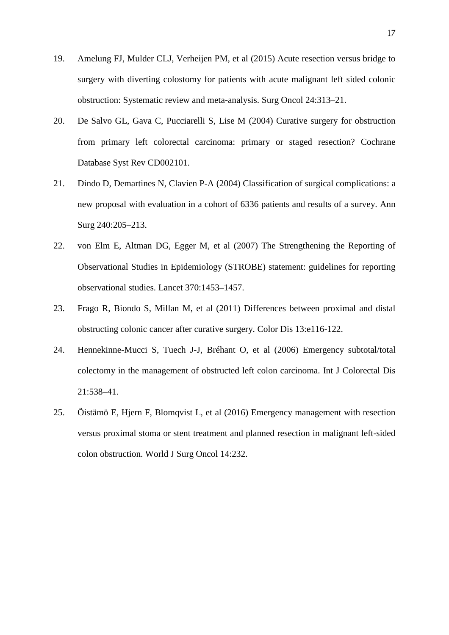- 19. Amelung FJ, Mulder CLJ, Verheijen PM, et al (2015) Acute resection versus bridge to surgery with diverting colostomy for patients with acute malignant left sided colonic obstruction: Systematic review and meta-analysis. Surg Oncol 24:313–21.
- 20. De Salvo GL, Gava C, Pucciarelli S, Lise M (2004) Curative surgery for obstruction from primary left colorectal carcinoma: primary or staged resection? Cochrane Database Syst Rev CD002101.
- 21. Dindo D, Demartines N, Clavien P-A (2004) Classification of surgical complications: a new proposal with evaluation in a cohort of 6336 patients and results of a survey. Ann Surg 240:205–213.
- 22. von Elm E, Altman DG, Egger M, et al (2007) The Strengthening the Reporting of Observational Studies in Epidemiology (STROBE) statement: guidelines for reporting observational studies. Lancet 370:1453–1457.
- 23. Frago R, Biondo S, Millan M, et al (2011) Differences between proximal and distal obstructing colonic cancer after curative surgery. Color Dis 13:e116-122.
- 24. Hennekinne-Mucci S, Tuech J-J, Bréhant O, et al (2006) Emergency subtotal/total colectomy in the management of obstructed left colon carcinoma. Int J Colorectal Dis 21:538–41.
- 25. Öistämö E, Hjern F, Blomqvist L, et al (2016) Emergency management with resection versus proximal stoma or stent treatment and planned resection in malignant left-sided colon obstruction. World J Surg Oncol 14:232.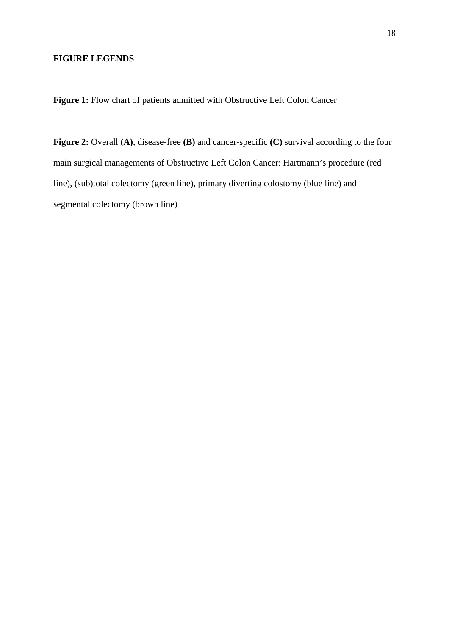# **FIGURE LEGENDS**

Figure 1: Flow chart of patients admitted with Obstructive Left Colon Cancer

**Figure 2:** Overall **(A)**, disease-free **(B)** and cancer-specific **(C)** survival according to the four main surgical managements of Obstructive Left Colon Cancer: Hartmann's procedure (red line), (sub)total colectomy (green line), primary diverting colostomy (blue line) and segmental colectomy (brown line)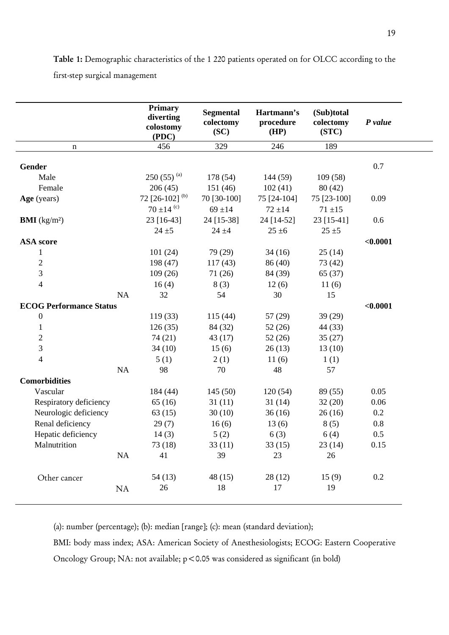**Table 1:** Demographic characteristics of the 1 220 patients operated on for OLCC according to the first-step surgical management

|                                | Primary<br>diverting<br>colostomy<br>(PDC) | <b>Segmental</b><br>colectomy<br>SC) | Hartmann's<br>procedure<br>(HP) | (Sub)total<br>colectomy<br>(STC) | P value  |
|--------------------------------|--------------------------------------------|--------------------------------------|---------------------------------|----------------------------------|----------|
| n                              | 456                                        | 329                                  | 246                             | 189                              |          |
|                                |                                            |                                      |                                 |                                  |          |
| <b>Gender</b>                  |                                            |                                      |                                 |                                  | 0.7      |
| Male                           | $250(55)^{(a)}$                            | 178 (54)                             | 144 (59)                        | 109(58)                          |          |
| Female                         | 206(45)                                    | 151(46)                              | 102(41)                         | 80(42)                           |          |
| Age (years)                    | 72 [26-102] $(b)$<br>70 ±14 $\frac{c}{c}$  | 70 [30-100]                          | 75 [24-104]                     | 75 [23-100]                      | 0.09     |
|                                |                                            | $69 + 14$                            | $72 \pm 14$                     | $71 \pm 15$                      |          |
| <b>BMI</b> ( $kg/m2$ )         | 23 [16-43]                                 | 24 [15-38]                           | 24 [14-52]                      | 23 [15-41]                       | 0.6      |
|                                | $24 + 5$                                   | $24 + 4$                             | $25 \pm 6$                      | $25 + 5$                         |          |
| <b>ASA</b> score               |                                            |                                      |                                 |                                  | < 0.0001 |
| $\mathbf{1}$                   | 101(24)                                    | 79 (29)                              | 34(16)                          | 25(14)                           |          |
| $\mathfrak{2}$                 | 198(47)                                    | 117(43)                              | 86 (40)                         | 73 (42)                          |          |
| $\mathfrak{Z}$                 | 109(26)                                    | 71(26)                               | 84 (39)                         | 65(37)                           |          |
| $\overline{4}$                 | 16(4)                                      | 8(3)                                 | 12(6)                           | 11(6)                            |          |
| NA                             | 32                                         | 54                                   | 30                              | 15                               |          |
| <b>ECOG Performance Status</b> |                                            |                                      |                                 |                                  | < 0.0001 |
| $\boldsymbol{0}$               | 119(33)                                    | 115(44)                              | 57(29)                          | 39 (29)                          |          |
| $\mathbf{1}$                   | 126(35)                                    | 84 (32)                              | 52(26)                          | 44 (33)                          |          |
| $\sqrt{2}$                     | 74 (21)                                    | 43(17)                               | 52(26)                          | 35(27)                           |          |
| 3                              | 34(10)                                     | 15(6)                                | 26(13)                          | 13(10)                           |          |
| $\overline{\mathcal{L}}$       | 5(1)                                       | 2(1)                                 | 11(6)                           | 1(1)                             |          |
| NA                             | 98                                         | 70                                   | 48                              | 57                               |          |
| <b>Comorbidities</b>           |                                            |                                      |                                 |                                  |          |
| Vascular                       | 184 (44)                                   | 145(50)                              | 120(54)                         | 89 (55)                          | 0.05     |
| Respiratory deficiency         | 65(16)                                     | 31(11)                               | 31(14)                          | 32(20)                           | 0.06     |
| Neurologic deficiency          | 63(15)                                     | 30(10)                               | 36(16)                          | 26(16)                           | 0.2      |
| Renal deficiency               | 29(7)                                      | 16(6)                                | 13(6)                           | 8(5)                             | $0.8\,$  |
| Hepatic deficiency             | 14(3)                                      | 5(2)                                 | 6(3)                            | 6(4)                             | 0.5      |
| Malnutrition                   | 73(18)                                     | 33(11)                               | 33(15)                          | 23(14)                           | 0.15     |
| NA                             | 41                                         | 39                                   | 23                              | 26                               |          |
|                                |                                            |                                      |                                 |                                  |          |
| Other cancer                   | 54(13)                                     | 48(15)                               | 28(12)                          | 15(9)                            | 0.2      |
| NA                             | 26                                         | 18                                   | 17                              | 19                               |          |

(a): number (percentage); (b): median [range]; (c): mean (standard deviation);

BMI: body mass index; ASA: American Society of Anesthesiologists; ECOG: Eastern Cooperative Oncology Group; NA: not available; p < 0.05 was considered as significant (in bold)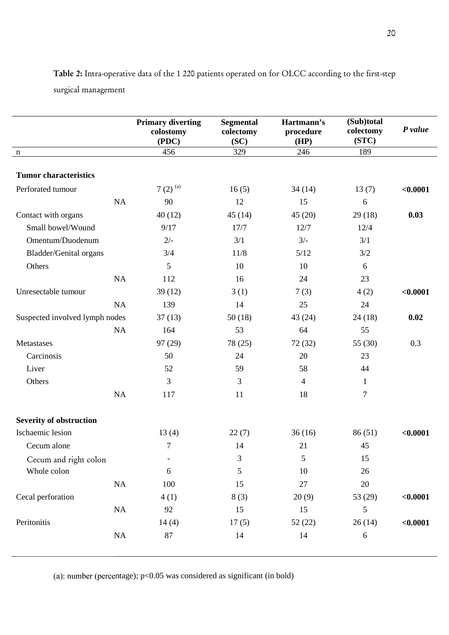|                                | <b>Primary diverting</b><br>colostomy<br>(PDC) | <b>Segmental</b><br>colectomy<br>(SC) | Hartmann's<br>procedure<br>(HP) | (Sub)total<br>colectomy<br>(STC) | P value  |
|--------------------------------|------------------------------------------------|---------------------------------------|---------------------------------|----------------------------------|----------|
| $\mathbf n$                    | 456                                            | 329                                   | 246                             | 189                              |          |
| <b>Tumor characteristics</b>   |                                                |                                       |                                 |                                  |          |
| Perforated tumour              | 7 $(2)$ <sup>(a)</sup>                         | 16(5)                                 | 34(14)                          | 13(7)                            | < 0.0001 |
| NA                             | 90                                             | 12                                    | 15                              | 6                                |          |
| Contact with organs            | 40(12)                                         | 45(14)                                | 45(20)                          | 29(18)                           | 0.03     |
| Small bowel/Wound              | 9/17                                           | 17/7                                  | 12/7                            | 12/4                             |          |
| Omentum/Duodenum               | $2/-$                                          | 3/1                                   | $3/-$                           | 3/1                              |          |
| Bladder/Genital organs         | 3/4                                            | 11/8                                  | 5/12                            | 3/2                              |          |
| Others                         | 5                                              | 10                                    | 10                              | 6                                |          |
| NA                             | 112                                            | 16                                    | 24                              | 23                               |          |
| Unresectable tumour            | 39(12)                                         | 3(1)                                  | 7(3)                            | 4(2)                             | < 0.0001 |
| NA                             | 139                                            | 14                                    | 25                              | 24                               |          |
| Suspected involved lymph nodes | 37(13)                                         | 50(18)                                | 43 (24)                         | 24(18)                           | 0.02     |
| NA                             | 164                                            | 53                                    | 64                              | 55                               |          |
| Metastases                     | 97 (29)                                        | 78 (25)                               | 72 (32)                         | 55 (30)                          | 0.3      |
| Carcinosis                     | 50                                             | 24                                    | 20                              | 23                               |          |
| Liver                          | 52                                             | 59                                    | 58                              | 44                               |          |
| Others                         | 3                                              | 3                                     | $\overline{4}$                  | $\mathbf{1}$                     |          |
| NA                             | 117                                            | 11                                    | 18                              | $\boldsymbol{7}$                 |          |
| <b>Severity of obstruction</b> |                                                |                                       |                                 |                                  |          |
| Ischaemic lesion               | 13(4)                                          | 22(7)                                 | 36(16)                          | 86(51)                           | < 0.0001 |
| Cecum alone                    | $\tau$                                         | 14                                    | 21                              | 45                               |          |
| Cecum and right colon          | $\overline{\phantom{a}}$                       | $\mathfrak{Z}$                        | 5                               | 15                               |          |
| Whole colon                    | 6                                              | 5                                     | 10                              | 26                               |          |
| $\rm NA$                       | 100                                            | 15                                    | 27                              | 20                               |          |
| Cecal perforation              | 4(1)                                           | 8(3)                                  | 20(9)                           | 53 (29)                          | < 0.0001 |
| NA                             | 92                                             | 15                                    | 15                              | 5                                |          |
| Peritonitis                    | 14(4)                                          | 17(5)                                 | 52(22)                          | 26(14)                           | < 0.0001 |
| NA                             | 87                                             | 14                                    | 14                              | $\sqrt{6}$                       |          |

**Table 2:** Intra-operative data of the 1 220 patients operated on for OLCC according to the first-step surgical management

(a): number (percentage); p<0.05 was considered as significant (in bold)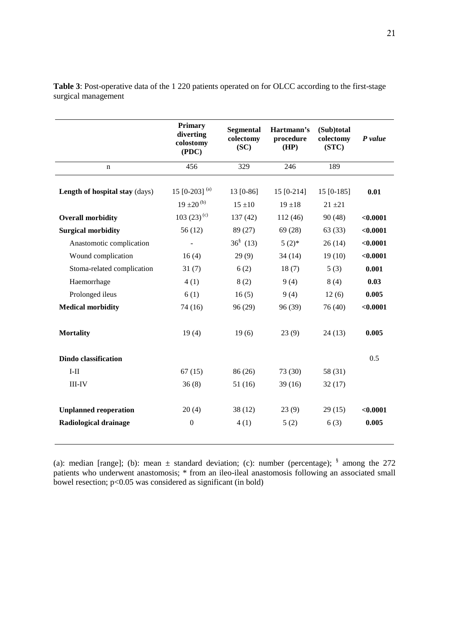|                                | <b>Primary</b><br>diverting<br>colostomy<br>( PDC) | <b>Segmental</b><br>colectomy<br>(SC) | Hartmann's<br>procedure<br>(HP) | (Sub)total<br>colectomy<br>(STC) | P value  |
|--------------------------------|----------------------------------------------------|---------------------------------------|---------------------------------|----------------------------------|----------|
| n                              | 456                                                | 329                                   | 246                             | 189                              |          |
| Length of hospital stay (days) | 15 [0-203] $^{(a)}$<br>$19 \pm 20^{(b)}$           | 13 [0-86]<br>$15 \pm 10$              | $15 [0-214]$<br>$19 + 18$       | 15 [0-185]<br>$21 + 21$          | 0.01     |
| <b>Overall morbidity</b>       | 103 (23) <sup>(c)</sup>                            | 137(42)                               | 112(46)                         | 90(48)                           | < 0.0001 |
| <b>Surgical morbidity</b>      | 56(12)                                             | 89 (27)                               | 69(28)                          | 63(33)                           | < 0.0001 |
| Anastomotic complication       |                                                    | $36^{\frac{8}{3}}$ (13)               | $5(2)$ *                        | 26(14)                           | < 0.0001 |
| Wound complication             | 16(4)                                              | 29(9)                                 | 34(14)                          | 19(10)                           | < 0.0001 |
| Stoma-related complication     | 31(7)                                              | 6(2)                                  | 18(7)                           | 5(3)                             | 0.001    |
| Haemorrhage                    | 4(1)                                               | 8(2)                                  | 9(4)                            | 8(4)                             | 0.03     |
| Prolonged ileus                | 6(1)                                               | 16(5)                                 | 9(4)                            | 12(6)                            | 0.005    |
| <b>Medical morbidity</b>       | 74 (16)                                            | 96(29)                                | 96 (39)                         | 76 (40)                          | < 0.0001 |
| <b>Mortality</b>               | 19(4)                                              | 19(6)                                 | 23(9)                           | 24(13)                           | 0.005    |
| <b>Dindo classification</b>    |                                                    |                                       |                                 |                                  | 0.5      |
| $I-II$                         | 67(15)                                             | 86 (26)                               | 73 (30)                         | 58 (31)                          |          |
| $III$ - $IV$                   | 36(8)                                              | 51(16)                                | 39(16)                          | 32(17)                           |          |
| <b>Unplanned reoperation</b>   | 20(4)                                              | 38(12)                                | 23(9)                           | 29(15)                           | < 0.0001 |
| Radiological drainage          | $\boldsymbol{0}$                                   | 4(1)                                  | 5(2)                            | 6(3)                             | 0.005    |
|                                |                                                    |                                       |                                 |                                  |          |

**Table 3**: Post-operative data of the 1 220 patients operated on for OLCC according to the first-stage surgical management

(a): median [range]; (b): mean  $\pm$  standard deviation; (c): number (percentage);  $\frac{8}{3}$  among the 272 patients who underwent anastomosis; \* from an ileo-ileal anastomosis following an associated small bowel resection;  $p<0.05$  was considered as significant (in bold)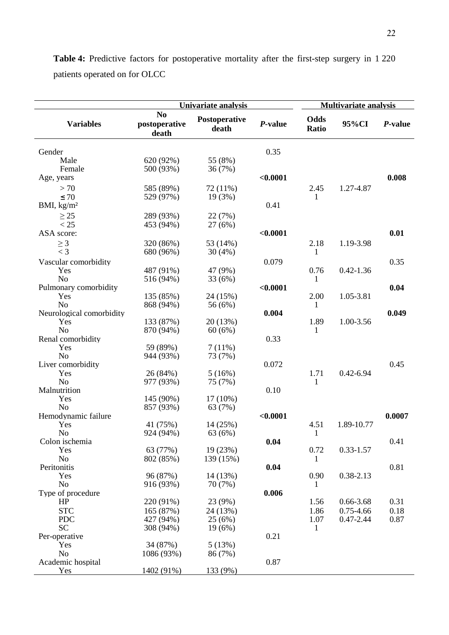|                          |                                          | Univariate analysis    |          | <b>Multivariate analysis</b> |               |         |  |
|--------------------------|------------------------------------------|------------------------|----------|------------------------------|---------------|---------|--|
| <b>Variables</b>         | N <sub>0</sub><br>postoperative<br>death | Postoperative<br>death | P-value  | Odds<br>Ratio                | 95%CI         | P-value |  |
| Gender                   |                                          |                        | 0.35     |                              |               |         |  |
| Male                     | 620 (92%)                                | 55 (8%)                |          |                              |               |         |  |
| Female                   | 500 (93%)                                | 36(7%)                 |          |                              |               |         |  |
| Age, years               |                                          |                        | < 0.0001 |                              |               | 0.008   |  |
|                          |                                          |                        |          |                              |               |         |  |
| > 70                     | 585 (89%)                                | 72 (11%)               |          | 2.45                         | 1.27-4.87     |         |  |
| $\leq 70$                | 529 (97%)                                | 19(3%)                 | 0.41     | 1                            |               |         |  |
| BMI, $\text{kg/m}^2$     |                                          |                        |          |                              |               |         |  |
| $\geq$ 25                | 289 (93%)                                | 22 (7%)                |          |                              |               |         |  |
| < 25                     | 453 (94%)                                | 27(6%)                 |          |                              |               |         |  |
| ASA score:               |                                          |                        | < 0.0001 |                              |               | 0.01    |  |
| $\geq 3$                 | 320 (86%)                                | 53 (14%)               |          | 2.18                         | 1.19-3.98     |         |  |
| $<$ 3                    | 680 (96%)                                | 30(4%)                 |          | 1                            |               |         |  |
| Vascular comorbidity     |                                          |                        | 0.079    |                              |               | 0.35    |  |
| Yes                      | 487 (91%)                                | 47 (9%)                |          | 0.76                         | $0.42 - 1.36$ |         |  |
| N <sub>o</sub>           | 516 (94%)                                | 33 (6%)                |          | 1                            |               |         |  |
| Pulmonary comorbidity    |                                          |                        | < 0.0001 |                              |               | 0.04    |  |
| Yes                      | 135 (85%)                                | 24 (15%)               |          | 2.00                         | 1.05-3.81     |         |  |
| N <sub>o</sub>           | 868 (94%)                                | 56 (6%)                |          | 1                            |               |         |  |
| Neurological comorbidity |                                          |                        | 0.004    |                              |               | 0.049   |  |
| Yes                      | 133 (87%)                                | 20(13%)                |          | 1.89                         | 1.00-3.56     |         |  |
| N <sub>o</sub>           | 870 (94%)                                | 60(6%)                 |          | 1                            |               |         |  |
| Renal comorbidity        |                                          |                        | 0.33     |                              |               |         |  |
| Yes                      | 59 (89%)                                 | 7(11%)                 |          |                              |               |         |  |
| N <sub>o</sub>           | 944 (93%)                                | 73 (7%)                |          |                              |               |         |  |
| Liver comorbidity        |                                          |                        | 0.072    |                              |               | 0.45    |  |
| Yes                      | 26 (84%)                                 | 5(16%)                 |          | 1.71                         | $0.42 - 6.94$ |         |  |
| N <sub>o</sub>           | 977 (93%)                                | 75 (7%)                |          | 1                            |               |         |  |
| Malnutrition             |                                          |                        | 0.10     |                              |               |         |  |
| Yes                      | 145 (90%)                                | $17(10\%)$             |          |                              |               |         |  |
| No                       | 857 (93%)                                | 63 (7%)                |          |                              |               |         |  |
| Hemodynamic failure      |                                          |                        | < 0.0001 |                              |               | 0.0007  |  |
| Yes                      | 41 (75%)                                 | 14 (25%)               |          | 4.51                         | 1.89-10.77    |         |  |
| N <sub>o</sub>           | 924 (94%)                                | 63 (6%)                |          | 1                            |               |         |  |
| Colon ischemia           |                                          |                        | 0.04     |                              |               | 0.41    |  |
| Yes                      | 63 (77%)                                 | 19(23%)                |          | 0.72                         | $0.33 - 1.57$ |         |  |
| No                       | 802 (85%)                                | 139 (15%)              |          | 1                            |               |         |  |
| Peritonitis              |                                          |                        | 0.04     |                              |               | 0.81    |  |
| Yes                      | 96 (87%)                                 | 14 (13%)               |          | 0.90                         | $0.38 - 2.13$ |         |  |
| N <sub>o</sub>           | 916 (93%)                                | 70 (7%)                |          | 1                            |               |         |  |
| Type of procedure        |                                          |                        | 0.006    |                              |               |         |  |
| HP                       | 220 (91%)                                | 23 (9%)                |          | 1.56                         | $0.66 - 3.68$ | 0.31    |  |
| <b>STC</b>               | 165 (87%)                                | 24 (13%)               |          | 1.86                         | $0.75 - 4.66$ | 0.18    |  |
| <b>PDC</b>               | 427 (94%)                                | 25(6%)                 |          | 1.07                         | $0.47 - 2.44$ | 0.87    |  |
| <b>SC</b>                | 308 (94%)                                | 19(6%)                 |          | 1                            |               |         |  |
| Per-operative            |                                          |                        | 0.21     |                              |               |         |  |
| Yes                      | 34 (87%)                                 | 5(13%)                 |          |                              |               |         |  |
| N <sub>0</sub>           | 1086 (93%)                               | 86 (7%)                |          |                              |               |         |  |
| Academic hospital        |                                          |                        | 0.87     |                              |               |         |  |
| Yes                      | 1402 (91%)                               | 133 (9%)               |          |                              |               |         |  |

**Table 4:** Predictive factors for postoperative mortality after the first-step surgery in 1 220 patients operated on for OLCC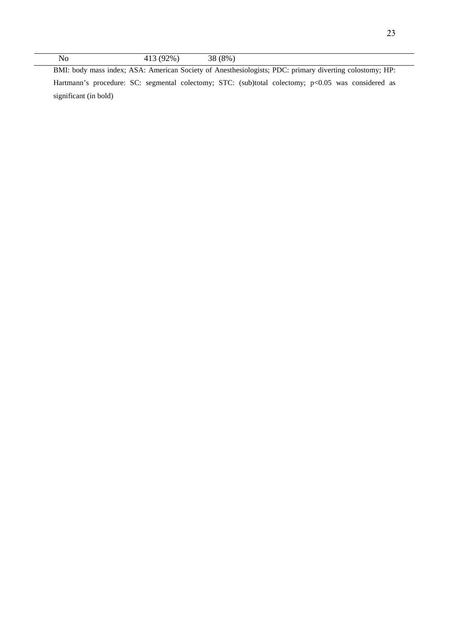No 413 (92%) 38 (8%) BMI: body mass index; ASA: American Society of Anesthesiologists; PDC: primary diverting colostomy; HP: Hartmann's procedure: SC: segmental colectomy; STC: (sub)total colectomy; p<0.05 was considered as significant (in bold)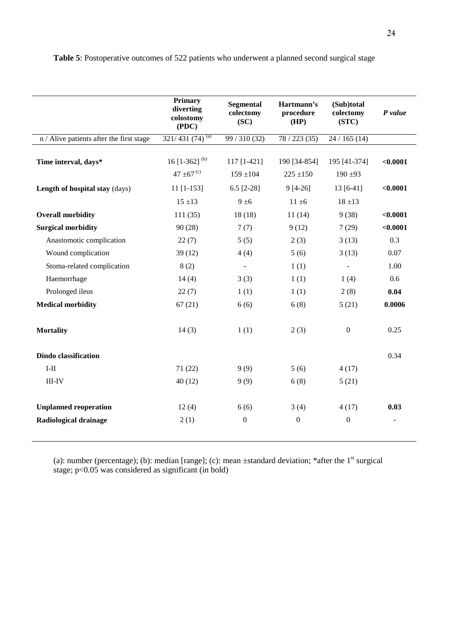|                                                       | <b>Primary</b><br>diverting<br>colostomy<br>( PDC) | <b>Segmental</b><br>colectomy<br>(SC) | Hartmann's<br>procedure<br>(HP) | (Sub)total<br>colectomy<br>(STC) | $P$ value |  |
|-------------------------------------------------------|----------------------------------------------------|---------------------------------------|---------------------------------|----------------------------------|-----------|--|
| n / Alive patients after the first stage              | $321/431(74)^{(a)}$                                | 99 / 310 (32)                         | 78/223(35)                      | 24/165(14)                       |           |  |
| Time interval, days*                                  | 16 [1-362] $^{(b)}$<br>47 $\pm$ 67 <sup>(c)</sup>  | $117$ [1-421]<br>$159 \pm 104$        | 190 [34-854]<br>$225 \pm 150$   | 195 [41-374]<br>$190 + 93$       | < 0.0001  |  |
| Length of hospital stay (days)                        | $11$ [1-153]                                       | 6.5 $[2-28]$                          | $9[4-26]$                       | $13[6-41]$                       | < 0.0001  |  |
|                                                       | $15 + 13$                                          | $9 \pm 6$                             | $11 \pm 6$                      | $18 \pm 13$                      |           |  |
| <b>Overall morbidity</b>                              | 111(35)                                            | 18(18)                                | 11(14)                          | 9(38)                            | < 0.0001  |  |
| <b>Surgical morbidity</b>                             | 90(28)                                             | 7(7)                                  | 9(12)                           | 7(29)                            | < 0.0001  |  |
| Anastomotic complication                              | 22(7)                                              | 5(5)                                  | 2(3)                            | 3(13)                            | 0.3       |  |
| Wound complication                                    | 39(12)                                             | 4(4)                                  | 5(6)                            | 3(13)                            | 0.07      |  |
| Stoma-related complication                            | 8(2)                                               | $\overline{\phantom{a}}$              | 1(1)                            | ÷,                               | 1.00      |  |
| Haemorrhage                                           | 14(4)                                              | 3(3)                                  | 1(1)                            | 1(4)                             | 0.6       |  |
| Prolonged ileus                                       | 22(7)                                              | 1(1)                                  | 1(1)                            | 2(8)                             | 0.04      |  |
| <b>Medical morbidity</b>                              | 67(21)                                             | 6(6)                                  | 6(8)                            | 5(21)                            | 0.0006    |  |
| <b>Mortality</b>                                      | 14(3)                                              | 1(1)                                  | 2(3)                            | $\boldsymbol{0}$                 | 0.25      |  |
| <b>Dindo classification</b>                           |                                                    |                                       |                                 |                                  | 0.34      |  |
| $I-II$                                                | 71(22)                                             | 9(9)                                  | 5(6)                            | 4(17)                            |           |  |
| $III$ - $IV$                                          | 40(12)                                             | 9(9)                                  | 6(8)                            | 5(21)                            |           |  |
| <b>Unplanned reoperation</b><br>Radiological drainage | 12(4)<br>2(1)                                      | 6(6)<br>$\boldsymbol{0}$              | 3(4)<br>$\boldsymbol{0}$        | 4(17)<br>$\boldsymbol{0}$        | 0.03      |  |
|                                                       |                                                    |                                       |                                 |                                  |           |  |

**Table 5**: Postoperative outcomes of 522 patients who underwent a planned second surgical stage

(a): number (percentage); (b): median [range]; (c): mean  $\pm$ standard deviation; \*after the 1<sup>st</sup> surgical stage;  $p<0.05$  was considered as significant (in bold)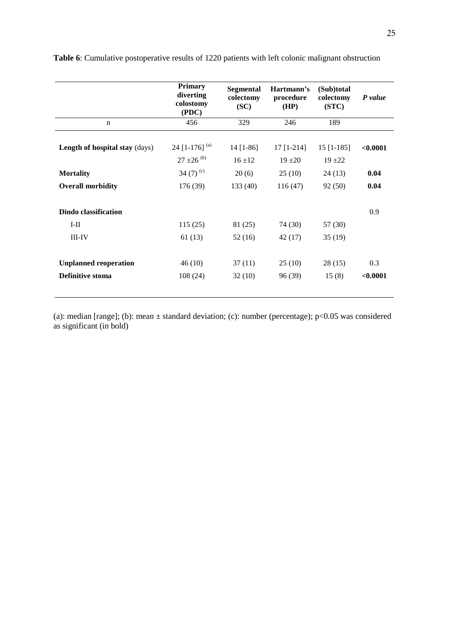|                                       | <b>Primary</b><br>diverting<br>colostomy<br>( PDC) | Segmental<br>colectomy<br>(SC) | Hartmann's<br>procedure<br>(HP)                        | (Sub)total<br>colectomy<br>(STC) | P value  |
|---------------------------------------|----------------------------------------------------|--------------------------------|--------------------------------------------------------|----------------------------------|----------|
| $\mathbf n$                           | 456                                                | 329                            | 246                                                    | 189                              |          |
| <b>Length of hospital stay (days)</b> | 24 [1-176] $^{(a)}$<br>$27 \pm 26$ <sup>(b)</sup>  | 14 [1-86]<br>$16 + 12$         | $17$ [1-214]<br>$15$ [1-185]<br>$19 + 20$<br>$19 + 22$ |                                  | < 0.0001 |
| <b>Mortality</b>                      | 34 $(7)^{(c)}$                                     | 20(6)                          | 25(10)                                                 | 24(13)                           | 0.04     |
| <b>Overall morbidity</b>              | 176 (39)                                           | 133(40)                        | 116(47)                                                | 92(50)                           | 0.04     |
| Dindo classification                  |                                                    |                                |                                                        |                                  | 0.9      |
| $I-II$                                | 115(25)                                            | 81 (25)                        | 74 (30)                                                | 57(30)                           |          |
| $III$ -IV                             | 61(13)                                             | 52(16)                         | 42 (17)                                                | 35(19)                           |          |
| <b>Unplanned reoperation</b>          | 46(10)<br>108(24)                                  | 37(11)                         | 25(10)                                                 |                                  | 0.3      |
| Definitive stoma                      |                                                    | 32(10)                         | 96 (39)                                                | 15(8)                            | < 0.0001 |

**Table 6**: Cumulative postoperative results of 1220 patients with left colonic malignant obstruction

(a): median [range]; (b): mean ± standard deviation; (c): number (percentage); p<0.05 was considered as significant (in bold)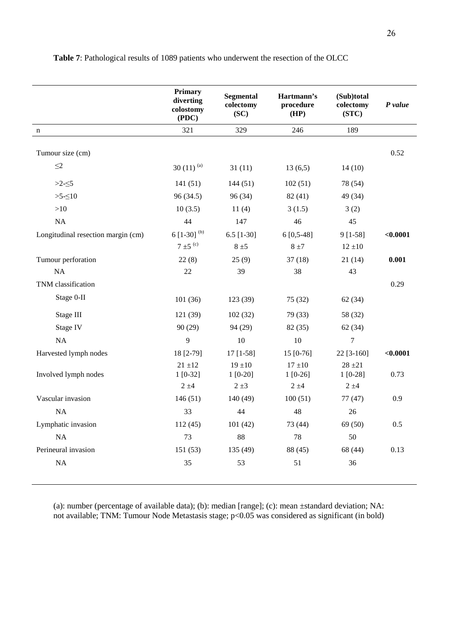|                                    | <b>Primary</b><br>diverting<br>colostomy<br>(PDC) | <b>Segmental</b><br>colectomy<br>(SC) | Hartmann's<br>procedure<br>(HP) | (Sub)total<br>colectomy<br>(STC) | P value  |
|------------------------------------|---------------------------------------------------|---------------------------------------|---------------------------------|----------------------------------|----------|
| n                                  | 321                                               | 329                                   | 246                             | 189                              |          |
| Tumour size (cm)                   |                                                   |                                       |                                 |                                  | 0.52     |
| $\leq$ 2                           | 30 $(11)^{(a)}$                                   | 31(11)                                | 13(6,5)                         | 14(10)                           |          |
| $>2-5$                             | 141(51)                                           | 144(51)                               | 102(51)                         | 78 (54)                          |          |
| $>5-5$                             | 96 (34.5)                                         | 96 (34)                               | 82(41)                          | 49 (34)                          |          |
| $>10$                              | 10(3.5)                                           | 11(4)                                 | 3(1.5)                          | 3(2)                             |          |
| $\rm NA$                           | 44                                                | 147                                   | 46                              | 45                               |          |
| Longitudinal resection margin (cm) | 6 $[1-30]^{(b)}$                                  | $6.5$ [1-30]                          | $6[0,5-48]$                     | $9[1-58]$                        | < 0.0001 |
|                                    | $7 \pm 5$ <sup>(c)</sup>                          | $8 \pm 5$                             | $8 \pm 7$                       | $12 \pm 10$                      |          |
| Tumour perforation                 | 22(8)                                             | 25(9)                                 | 37(18)                          | 21(14)                           | 0.001    |
| $\rm NA$                           | 22                                                | 39                                    | 38                              | 43                               |          |
| TNM classification                 |                                                   |                                       |                                 |                                  | 0.29     |
| Stage 0-II                         | 101(36)                                           | 123 (39)                              | 75 (32)                         | 62(34)                           |          |
| Stage III                          | 121 (39)                                          | 102(32)                               | 79 (33)                         | 58 (32)                          |          |
| Stage IV                           | 90(29)                                            | 94 (29)                               | 82 (35)                         | 62(34)                           |          |
| NA                                 | 9                                                 | 10                                    | 10                              | $\boldsymbol{7}$                 |          |
| Harvested lymph nodes              | 18 [2-79]                                         | $17$ [1-58]                           | $15 [0-76]$                     | $22$ [3-160]                     | < 0.0001 |
| Involved lymph nodes               | $21 \pm 12$<br>$1[0-32]$                          | $19 + 10$<br>$1[0-20]$                | $17 + 10$<br>$1[0-26]$          | $28 + 21$<br>$1[0-28]$           | 0.73     |
|                                    | $2 \pm 4$                                         | $2 \pm 3$                             | $2 \pm 4$                       | $2 \pm 4$                        |          |
| Vascular invasion                  | 146(51)                                           | 140 (49)                              | 100(51)                         | 77(47)                           | 0.9      |
| NA                                 | 33                                                | 44                                    | 48                              | 26                               |          |
| Lymphatic invasion                 | 112 (45)                                          | 101(42)                               | 73 (44)                         | 69 (50)                          | 0.5      |
| NA                                 | 73                                                | 88                                    | $78\,$                          | 50                               |          |
| Perineural invasion                | 151 (53)                                          | 135 (49)                              | 88 (45)                         | 68 (44)                          | 0.13     |
| $\rm NA$                           | 35                                                | 53                                    | 51                              | 36                               |          |

**Table 7**: Pathological results of 1089 patients who underwent the resection of the OLCC

(a): number (percentage of available data); (b): median [range]; (c): mean ±standard deviation; NA: not available; TNM: Tumour Node Metastasis stage; p<0.05 was considered as significant (in bold)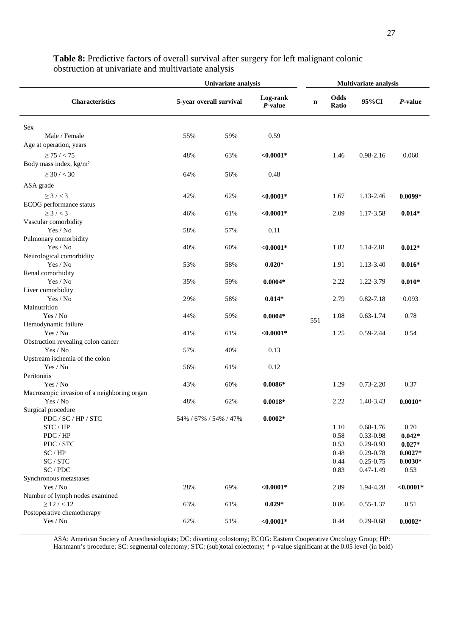|                                             | Univariate analysis     |     |                     | Multivariate analysis |               |               |              |
|---------------------------------------------|-------------------------|-----|---------------------|-----------------------|---------------|---------------|--------------|
| <b>Characteristics</b>                      | 5-year overall survival |     | Log-rank<br>P-value | n                     | Odds<br>Ratio | 95%CI         | P-value      |
| Sex                                         |                         |     |                     |                       |               |               |              |
| Male / Female                               | 55%                     | 59% | 0.59                |                       |               |               |              |
| Age at operation, years                     |                         |     |                     |                       |               |               |              |
| $\geq$ 75 / < 75                            | 48%                     | 63% | $< 0.0001*$         |                       | 1.46          | 0.98-2.16     | 0.060        |
| Body mass index, kg/m <sup>2</sup>          |                         |     |                     |                       |               |               |              |
|                                             |                         |     |                     |                       |               |               |              |
| $\geq$ 30 / < 30                            | 64%                     | 56% | 0.48                |                       |               |               |              |
| ASA grade                                   |                         |     |                     |                       |               |               |              |
| $\geq$ 3 / < 3                              | 42%                     | 62% | $< 0.0001*$         |                       | 1.67          | 1.13-2.46     | $0.0099*$    |
| ECOG performance status                     |                         |     |                     |                       |               |               |              |
| $\geq$ 3 / < 3                              | 46%                     | 61% | $< 0.0001*$         |                       | 2.09          | 1.17-3.58     | $0.014*$     |
| Vascular comorbidity                        |                         |     |                     |                       |               |               |              |
| Yes / No                                    | 58%                     | 57% | 0.11                |                       |               |               |              |
| Pulmonary comorbidity                       |                         |     |                     |                       |               |               |              |
| Yes / No                                    | 40%                     | 60% | ${<}0.0001*$        |                       | 1.82          | 1.14-2.81     | $0.012*$     |
| Neurological comorbidity                    |                         |     |                     |                       |               |               |              |
| Yes / No                                    | 53%                     | 58% | $0.020*$            |                       | 1.91          | 1.13-3.40     | $0.016*$     |
| Renal comorbidity                           |                         |     |                     |                       |               |               |              |
| Yes / No                                    | 35%                     | 59% | $0.0004*$           |                       | 2.22          | 1.22-3.79     | $0.010*$     |
| Liver comorbidity                           |                         |     |                     |                       |               |               |              |
| Yes / No                                    | 29%                     | 58% | $0.014*$            |                       | 2.79          | $0.82 - 7.18$ | 0.093        |
| Malnutrition<br>Yes / No                    | 44%                     |     |                     |                       |               | $0.63 - 1.74$ | 0.78         |
| Hemodynamic failure                         |                         | 59% | $0.0004*$           | 551                   | 1.08          |               |              |
| Yes / No                                    | 41%                     | 61% | $< 0.0001*$         |                       | 1.25          | 0.59-2.44     | 0.54         |
| Obstruction revealing colon cancer          |                         |     |                     |                       |               |               |              |
| Yes / No                                    | 57%                     | 40% | 0.13                |                       |               |               |              |
| Upstream ischemia of the colon              |                         |     |                     |                       |               |               |              |
| Yes / No                                    | 56%                     | 61% | 0.12                |                       |               |               |              |
| Peritonitis                                 |                         |     |                     |                       |               |               |              |
| Yes / No                                    | 43%                     | 60% | $0.0086*$           |                       | 1.29          | $0.73 - 2.20$ | 0.37         |
| Macroscopic invasion of a neighboring organ |                         |     |                     |                       |               |               |              |
| Yes / No                                    | 48%                     | 62% | $0.0018*$           |                       | 2.22          | 1.40-3.43     | $0.0010*$    |
| Surgical procedure                          |                         |     |                     |                       |               |               |              |
| PDC / SC / HP / STC                         | 54% / 67% / 54% / 47%   |     | $0.0002*$           |                       |               |               |              |
| STC / HP                                    |                         |     |                     |                       | 1.10          | $0.68 - 1.76$ | 0.70         |
| PDC / HP                                    |                         |     |                     |                       | 0.58          | 0.33-0.98     | $0.042*$     |
| PDC / STC                                   |                         |     |                     |                       | 0.53          | $0.29 - 0.93$ | $0.027*$     |
| SC/HP                                       |                         |     |                     |                       | 0.48          | $0.29 - 0.78$ | $0.0027*$    |
| SC / STC                                    |                         |     |                     |                       | 0.44          | $0.25 - 0.75$ | $0.0030*$    |
| $SC$ / $PDC$                                |                         |     |                     |                       | 0.83          | $0.47 - 1.49$ | 0.53         |
| Synchronous metastases                      |                         |     |                     |                       |               |               |              |
| Yes / No                                    | 28%                     | 69% | ${<}0.0001*$        |                       | 2.89          | 1.94-4.28     | ${<}0.0001*$ |
| Number of lymph nodes examined              |                         |     |                     |                       |               |               |              |
| $\geq$ 12 / < 12                            | 63%                     | 61% | $0.029*$            |                       | 0.86          | $0.55 - 1.37$ | 0.51         |
| Postoperative chemotherapy                  |                         |     |                     |                       |               |               |              |
| $\operatorname{Yes}/\operatorname{No}$      | 62%                     | 51% | ${<}0.0001*$        |                       | 0.44          | $0.29 - 0.68$ | $0.0002*$    |

**Table 8:** Predictive factors of overall survival after surgery for left malignant colonic obstruction at univariate and multivariate analysis

ASA: American Society of Anesthesiologists; DC: diverting colostomy; ECOG: Eastern Cooperative Oncology Group; HP: Hartmann's procedure; SC: segmental colectomy; STC: (sub)total colectomy; \* p-value significant at the 0.05 level (in bold)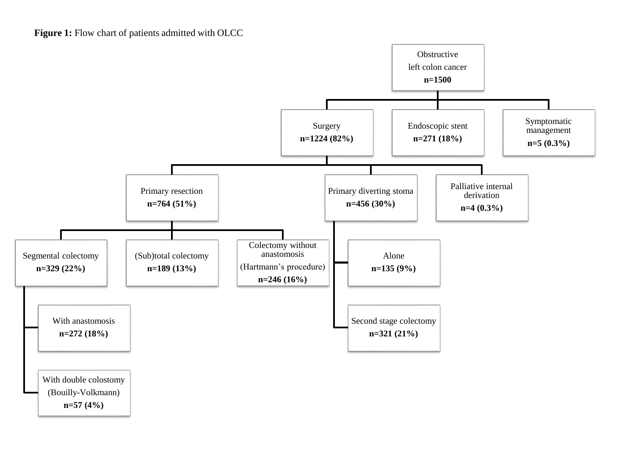

**n=57 (4%)**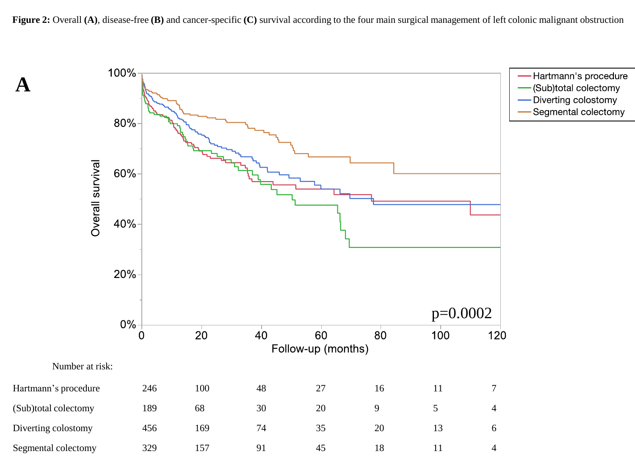

**A**

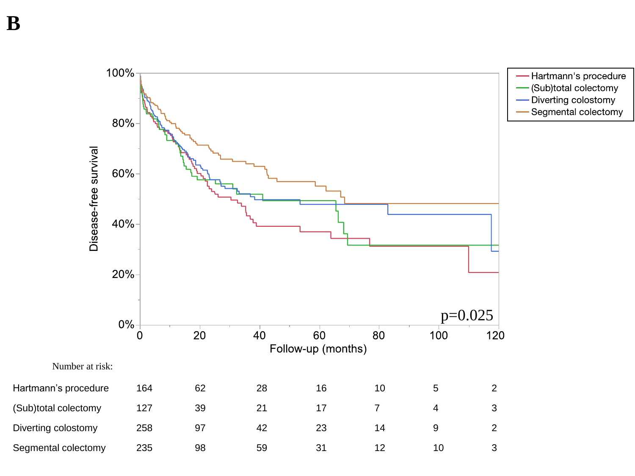